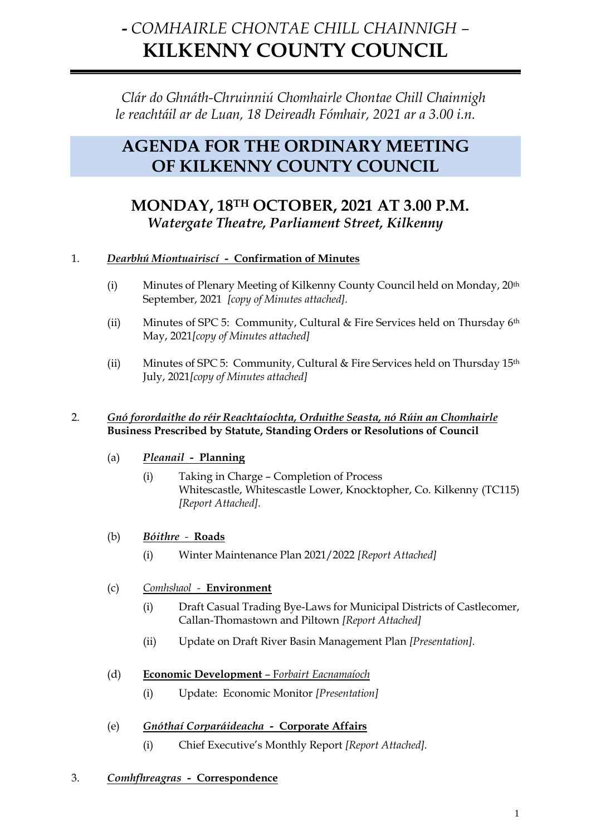# **-** *COMHAIRLE CHONTAE CHILL CHAINNIGH –* **KILKENNY COUNTY COUNCIL**

*Clár do Ghnáth-Chruinniú Chomhairle Chontae Chill Chainnigh le reachtáil ar de Luan, 18 Deireadh Fómhair, 2021 ar a 3.00 i.n.*

# **AGENDA FOR THE ORDINARY MEETING OF KILKENNY COUNTY COUNCIL**

# **MONDAY, 18TH OCTOBER, 2021 AT 3.00 P.M.** *Watergate Theatre, Parliament Street, Kilkenny*

# 1. *Dearbhú Miontuairiscí -* **Confirmation of Minutes**

- (i) Minutes of Plenary Meeting of Kilkenny County Council held on Monday, 20th September, 2021 *[copy of Minutes attached].*
- (ii) Minutes of SPC 5: Community, Cultural & Fire Services held on Thursday 6th May, 2021*[copy of Minutes attached]*
- (ii) Minutes of SPC 5: Community, Cultural & Fire Services held on Thursday 15th July, 2021*[copy of Minutes attached]*

#### 2. *Gnó forordaithe do réir Reachtaíochta, Orduithe Seasta, nó Rúin an Chomhairle* **Business Prescribed by Statute, Standing Orders or Resolutions of Council**

- (a) *Pleanail* **Planning**
	- (i) Taking in Charge Completion of Process Whitescastle, Whitescastle Lower, Knocktopher, Co. Kilkenny (TC115) *[Report Attached].*
- (b) *Bóithre***Roads**
	- (i) Winter Maintenance Plan 2021/2022 *[Report Attached]*
- (c) *Comhshaol* **Environment**
	- (i) Draft Casual Trading Bye-Laws for Municipal Districts of Castlecomer, Callan-Thomastown and Piltown *[Report Attached]*
	- (ii) Update on Draft River Basin Management Plan *[Presentation].*

### (d) **Economic Development** – F*orbairt Eacnamaíoch*

- (i) Update: Economic Monitor *[Presentation]*
- (e) *Gnóthaí Corparáideacha* **Corporate Affairs** (i) Chief Executive's Monthly Report *[Report Attached].*
- 3. *Comhfhreagras* **Correspondence**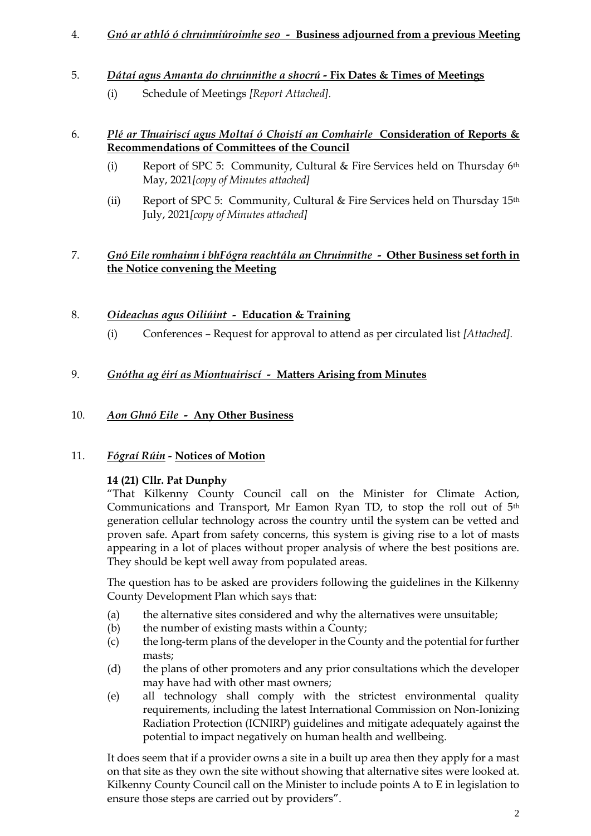# 4. *Gnó ar athló ó chruinniúroimhe seo -* **Business adjourned from a previous Meeting**

# 5. *Dátaí agus Amanta do chruinnithe a shocrú -* **Fix Dates & Times of Meetings**

(i) Schedule of Meetings *[Report Attached].*

#### 6. *Plé ar Thuairiscí agus Moltaí ó Choistí an Comhairle* **Consideration of Reports & Recommendations of Committees of the Council**

- (i) Report of SPC 5: Community, Cultural & Fire Services held on Thursday 6th May, 2021*[copy of Minutes attached]*
- (ii) Report of SPC 5: Community, Cultural & Fire Services held on Thursday 15th July, 2021*[copy of Minutes attached]*

# 7. *Gnó Eile romhainn i bhFógra reachtála an Chruinnithe -* **Other Business set forth in the Notice convening the Meeting**

# 8. *Oideachas agus Oiliúint -* **Education & Training**

(i) Conferences – Request for approval to attend as per circulated list *[Attached].*

# 9. *Gnótha ag éirí as Miontuairiscí -* **Matters Arising from Minutes**

# 10. *Aon Ghnó Eile -* **Any Other Business**

### 11. *Fógraí Rúin -* **Notices of Motion**

### **14 (21) Cllr. Pat Dunphy**

"That Kilkenny County Council call on the Minister for Climate Action, Communications and Transport, Mr Eamon Ryan TD, to stop the roll out of 5th generation cellular technology across the country until the system can be vetted and proven safe. Apart from safety concerns, this system is giving rise to a lot of masts appearing in a lot of places without proper analysis of where the best positions are. They should be kept well away from populated areas.

The question has to be asked are providers following the guidelines in the Kilkenny County Development Plan which says that:

- (a) the alternative sites considered and why the alternatives were unsuitable;
- (b) the number of existing masts within a County;
- (c) the long-term plans of the developer in the County and the potential for further masts;
- (d) the plans of other promoters and any prior consultations which the developer may have had with other mast owners;
- (e) all technology shall comply with the strictest environmental quality requirements, including the latest International Commission on Non‐Ionizing Radiation Protection (ICNIRP) guidelines and mitigate adequately against the potential to impact negatively on human health and wellbeing.

It does seem that if a provider owns a site in a built up area then they apply for a mast on that site as they own the site without showing that alternative sites were looked at. Kilkenny County Council call on the Minister to include points A to E in legislation to ensure those steps are carried out by providers".